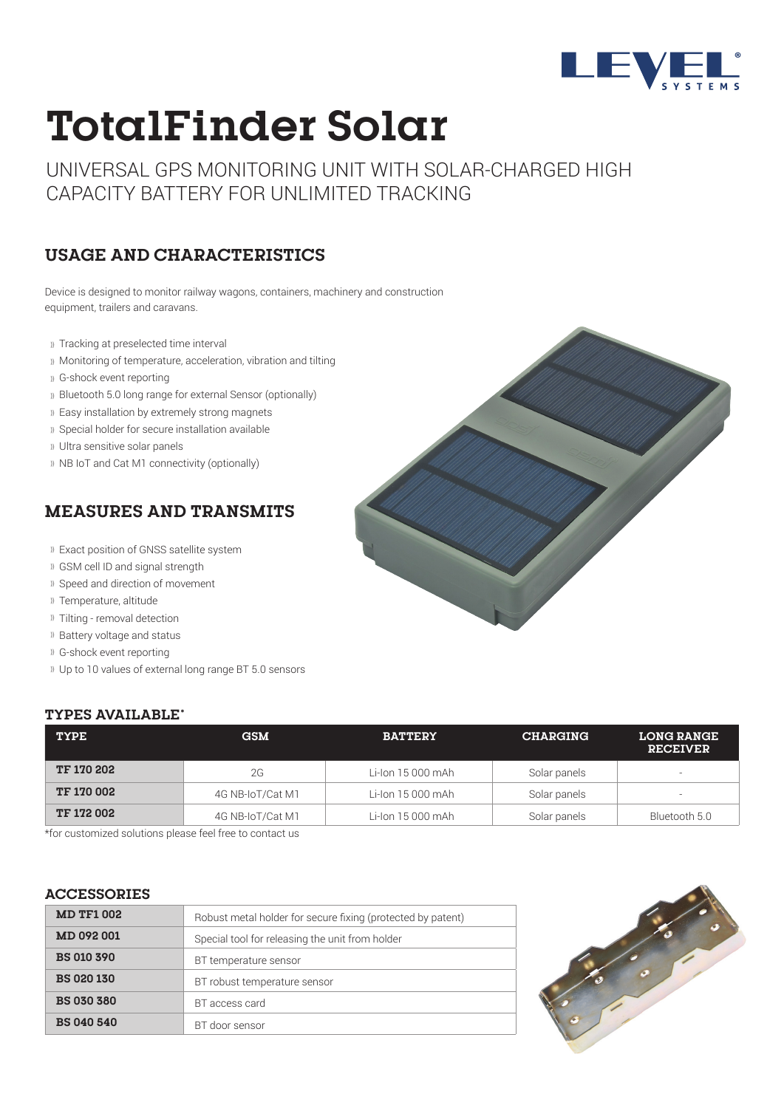

# **TotalFinder Solar**

UNIVERSAL GPS MONITORING UNIT WITH SOLAR-CHARGED HIGH CAPACITY BATTERY FOR UNLIMITED TRACKING

## **USAGE AND CHARACTERISTICS**

Device is designed to monitor railway wagons, containers, machinery and construction equipment, trailers and caravans.

- Tracking at preselected time interval
- Monitoring of temperature, acceleration, vibration and tilting
- G-shock event reporting
- Bluetooth 5.0 long range for external Sensor (optionally)
- Easy installation by extremely strong magnets
- Special holder for secure installation available
- Ultra sensitive solar panels
- » NB IoT and Cat M1 connectivity (optionally)

### **MEASURES AND TRANSMITS**

- Exact position of GNSS satellite system
- GSM cell ID and signal strength
- Speed and direction of movement
- Temperature, altitude
- Tilting removal detection
- Battery voltage and status
- G-shock event reporting
- Up to 10 values of external long range BT 5.0 sensors

#### **TYPES AVAILABLE\***

| <b>TYPE</b>       | <b>GSM</b>       | <b>BATTERY</b>    | <b>CHARGING</b> | <b>LONG RANGE</b><br><b>RECEIVER</b> |
|-------------------|------------------|-------------------|-----------------|--------------------------------------|
| <b>TF 170 202</b> | 2G               | Li-Ion 15 000 mAh | Solar panels    | $\overline{\phantom{a}}$             |
| <b>TF 170 002</b> | 4G NB-IoT/Cat M1 | Li-Ion 15 000 mAh | Solar panels    | $\overline{\phantom{a}}$             |
| <b>TF 172 002</b> | 4G NB-IoT/Cat M1 | Li-Ion 15 000 mAh | Solar panels    | Bluetooth 5.0                        |

\*for customized solutions please feel free to contact us

#### **ACCESSORIES**

| <b>MD TF1 002</b> | Robust metal holder for secure fixing (protected by patent) |  |  |
|-------------------|-------------------------------------------------------------|--|--|
| MD 092 001        | Special tool for releasing the unit from holder             |  |  |
| <b>BS 010 390</b> | BT temperature sensor                                       |  |  |
| <b>BS 020 130</b> | BT robust temperature sensor                                |  |  |
| <b>BS 030 380</b> | BT access card                                              |  |  |
| <b>BS 040 540</b> | BT door sensor                                              |  |  |